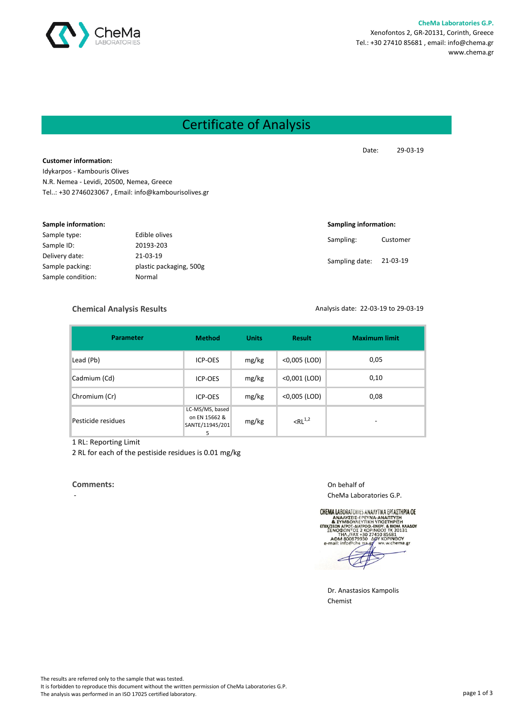

**CheMa Laboratories G.P.** Xenofontos 2, GR-20131, Corinth, Greece Tel.: +30 27410 85681 , email: info@chema.gr www.chema.gr

## Certificate of Analysis

Date: 29-03-19

**Customer information:** Idykarpos - Kambouris Olives N.R. Nemea - Levidi, 20500, Nemea, Greece Tel..: +30 2746023067 , Email: info@kambourisolives.gr

| Sample information: |                         |                | Sampling information: |  |
|---------------------|-------------------------|----------------|-----------------------|--|
| Sample type:        | Edible olives           |                | Customer              |  |
| Sample ID:          | 20193-203               | Sampling:      |                       |  |
| Delivery date:      | 21-03-19                |                | 21-03-19              |  |
| Sample packing:     | plastic packaging, 500g | Sampling date: |                       |  |
| Sample condition:   | Normal                  |                |                       |  |

## **Chemical Analysis Results**

Analysis date: 22-03-19 to 29-03-19

| <b>Parameter</b>   | <b>Method</b>                                            | <b>Units</b> | <b>Result</b>   | <b>Maximum limit</b>     |
|--------------------|----------------------------------------------------------|--------------|-----------------|--------------------------|
| Lead (Pb)          | <b>ICP-OES</b>                                           | mg/kg        | <0,005 (LOD)    | 0,05                     |
| Cadmium (Cd)       | <b>ICP-OES</b>                                           | mg/kg        | $<$ 0,001 (LOD) | 0,10                     |
| Chromium (Cr)      | <b>ICP-OES</b>                                           | mg/kg        | $<$ 0,005 (LOD) | 0,08                     |
| Pesticide residues | LC-MS/MS, based<br>on EN 15662 &<br>SANTE/11945/201<br>5 | mg/kg        | $RL^{1,2}$      | $\overline{\phantom{0}}$ |

1 RL: Reporting Limit

2 RL for each of the pestiside residues is 0.01 mg/kg

## **Comments:** On behalf of

CheMa Laboratories G.P.

**CHEMA LABORATORIES ANAAYTIKA EPFAZTHPIA OE URIMAL HOURAN UNITS AN ANALYSE E-FEY NA ANALYSE E-FEY NA ANALYSE E-FEY NA ANALYSE BIOM. KAADY STATE AND A STATE AND A STATE OF A STATE OF A STATE AND A STATE AND A STATE AND A STATE AND A STATE AND A STATE AND A STATE AND** 

Dr. Anastasios Kampolis Chemist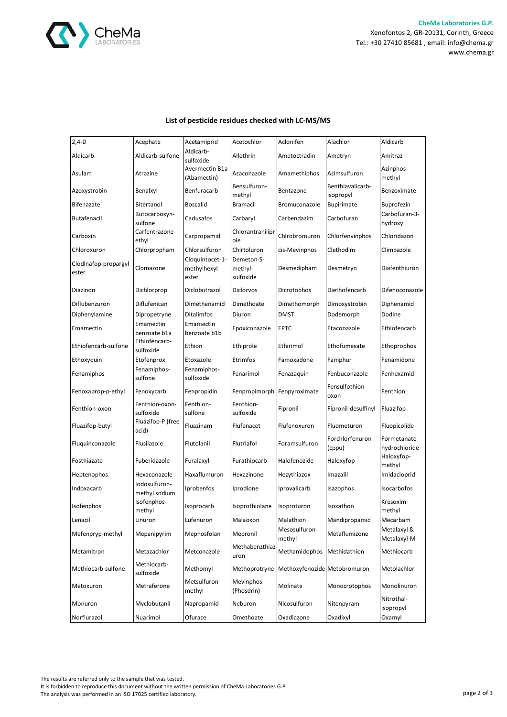

| $2,4-D$                       | Acephate                       | Acetamiprid                             | Acetochlor                         | Aclonifen                                  | Alachlor                      | Aldicarb                     |
|-------------------------------|--------------------------------|-----------------------------------------|------------------------------------|--------------------------------------------|-------------------------------|------------------------------|
| Aldicarb-                     | Aldicarb-sulfone               | Aldicarb-<br>sulfoxide                  | Allethrin                          | Ametoctradin                               | Ametryn                       | Amitraz                      |
| Asulam                        | Atrazine                       | Avermectin B1a<br>(Abamectin)           | Azaconazole                        | Amamethiphos                               | Azimsulfuron                  | Azinphos-<br>methyl          |
| Azoxystrobin                  | Benalxyl                       | Benfuracarb                             | Bensulfuron-<br>methyl             | Bentazone                                  | Benthiavalicarb-<br>isopropyl | Benzoximate                  |
| Bifenazate                    | Bitertanol                     | <b>Boscalid</b>                         | Bramacil                           | Bromuconazole                              | <b>Bupirimate</b>             | <b>Buprofezin</b>            |
| Butafenacil                   | Butocarboxyn-<br>sulfone       | Cadusafos                               | Carbaryl                           | Carbendazim                                | Carbofuran                    | Carbofuran-3-<br>hydroxy     |
| Carboxin                      | Carfentrazone-<br>ethyl        | Carpropamid                             | Chlorantranilipr<br>ole            | Chlrobromuron                              | Chlorfenvinphos               | Chloridazon                  |
| Chloroxuron                   | Chlorpropham                   | Chlorsulfuron                           | Chirtoluron                        | cis-Mevinphos                              | Clethodim                     | Climbazole                   |
| Clodinafop-propargyl<br>ester | Clomazone                      | Cloquintocet-1-<br>methylhexyl<br>ester | Demeton-S-<br>methyl-<br>sulfoxide | Desmedipham                                | Desmetryn                     | Diafenthiuron                |
| Diazinon                      | Dichlorprop                    | Diclobutrazol                           | Diclorvos                          | Dicrotophos                                | Diethofencarb                 | Difenoconazole               |
| Diflubenzuron                 | Diflufenican                   | Dimethenamid                            | Dimethoate                         | Dimethomorph                               | Dimoxystrobin                 | Diphenamid                   |
| Diphenylamine                 | Dipropetryne                   | <b>Ditalimfos</b>                       | Diuron                             | <b>DMST</b>                                | Dodemorph                     | Dodine                       |
| Emamectin                     | Emamectin<br>benzoate b1a      | Emamectin<br>benzoate b1b               | Epoxiconazole                      | <b>EPTC</b>                                | Etaconazole                   | Ethiofencarb                 |
| Ethiofencarb-sulfone          | Ethiofencarb-<br>sulfoxide     | Ethion                                  | Ethiprole                          | Ethirimol                                  | Ethofumesate                  | Ethoprophos                  |
| Ethoxyquin                    | Etofenprox                     | Etoxazole                               | Etrimfos                           | Famoxadone                                 | Famphur                       | Fenamidone                   |
| Fenamiphos                    | Fenamiphos-<br>sulfone         | Fenamiphos-<br>sulfoxide                | Fenarimol                          | Fenazaquin                                 | Fenbuconazole                 | Fenhexamid                   |
| Fenoxaprop-p-ethyl            | Fenoxycarb                     | Fenpropidin                             | Fenpropimorph Fenpyroximate        |                                            | Fensulfothion-<br>oxon        | Fenthion                     |
| Fenthion-oxon                 | Fenthion-oxon-<br>sulfoxide    | Fenthion-<br>sulfone                    | Fenthion-<br>sulfoxide             | Fipronil                                   | Fipronil-desulfinyl           | Fluazifop                    |
| Fluazifop-butyl               | Fluazifop-P (free<br>acid)     | Fluazinam                               | Flufenacet                         | Flufenoxuron                               | Fluometuron                   | Fluopicolide                 |
| Fluquinconazole               | Flusilazole                    | Flutolanil                              | Flutriafol                         | Foramsulfuron                              | Forchlorfenuron<br>(cppu)     | Formetanate<br>hydrochloride |
| Fosthiazate                   | Fuberidazole                   | Furalaxyl                               | Furathiocarb                       | Halofenozide                               | Haloxyfop                     | Haloxyfop-<br>methyl         |
| Heptenophos                   | Hexaconazole                   | Haxaflumuron                            | Hexazinone                         | Hezythiazox                                | Imazalil                      | Imidacloprid                 |
| Indoxacarb                    | Iodosulfuron-<br>methyl sodium | Iprobenfos                              | Iprodione                          | Iprovalicarb                               | Isazophos                     | Isocarbofos                  |
| Isofenphos                    | Isofenphos-<br>methyl          | Isoprocarb                              | Isoprothiolane                     | Isoproturon                                | Isoxathon                     | Kresoxim-<br>methyl          |
| Lenacil                       | Linuron                        | Lufenuron                               | Malaoxon                           | Malathion                                  | Mandipropamid                 | Mecarbam                     |
| Mefenpryp-methyl              | Mepanipyrim                    | Mephosfolan                             | Mepronil                           | Mesosulfuron-<br>methyl                    | Metaflumizone                 | Metalaxyl &<br>Metalaxyl-M   |
| Metamitron                    | Metazachlor                    | Metconazole                             | Methabenzthiaz<br>uron             | Methamidophos                              | Methidathion                  | Methiocarb                   |
| Methiocarb-sulfone            | Methiocarb-<br>sulfoxide       | Methomyl                                |                                    | Methoprotryne Methoxyfenozide Metobromuron |                               | Metolachlor                  |
| Metoxuron                     | Metraferone                    | Metsulfuron-<br>methyl                  | Mevinphos<br>(Phosdrin)            | Molinate                                   | Monocrotophos                 | Monolinuron                  |
| Monuron                       | Myclobutanil                   | Napropamid                              | Neburon                            | Nicosulfuron                               | Nitenpyram                    | Nitrothal-<br>isopropyl      |
| Norflurazol                   | Nuarimol                       | Ofurace                                 | Omethoate                          | Oxadiazone                                 | Oxadixyl                      | Oxamyl                       |

## **List of pesticide residues checked with LC-MS/MS**

The results are referred only to the sample that was tested. It is forbidden to reproduce this document without the written permission of CheMa Laboratories G.P. The analysis was performed in an ISO 17025 certified laboratory.<br>The analysis was performed in an ISO 17025 certified laboratory.